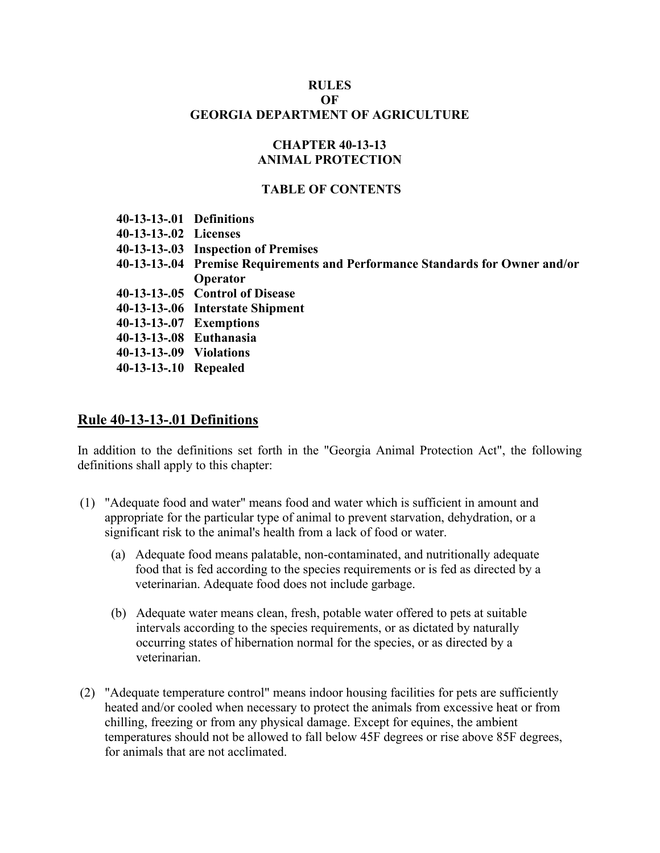### **RULES OF GEORGIA DEPARTMENT OF AGRICULTURE**

## **CHAPTER 40-13-13 ANIMAL PROTECTION**

### **TABLE OF CONTENTS**

| 40-13-13-.01 Definitions |                                                                              |
|--------------------------|------------------------------------------------------------------------------|
| 40-13-13-.02 Licenses    |                                                                              |
|                          | 40-13-13-.03 Inspection of Premises                                          |
|                          | 40-13-13-.04 Premise Requirements and Performance Standards for Owner and/or |
|                          | Operator                                                                     |
|                          | 40-13-13-.05 Control of Disease                                              |
|                          | 40-13-13-.06 Interstate Shipment                                             |
| 40-13-13-.07 Exemptions  |                                                                              |
| 40-13-13-.08 Euthanasia  |                                                                              |
| 40-13-13-09 Violations   |                                                                              |
| 40-13-13-.10 Repealed    |                                                                              |
|                          |                                                                              |

### **Rule 40-13-13-.01 Definitions**

In addition to the definitions set forth in the "Georgia Animal Protection Act", the following definitions shall apply to this chapter:

- (1) "Adequate food and water" means food and water which is sufficient in amount and appropriate for the particular type of animal to prevent starvation, dehydration, or a significant risk to the animal's health from a lack of food or water.
	- (a) Adequate food means palatable, non-contaminated, and nutritionally adequate food that is fed according to the species requirements or is fed as directed by a veterinarian. Adequate food does not include garbage.
	- (b) Adequate water means clean, fresh, potable water offered to pets at suitable intervals according to the species requirements, or as dictated by naturally occurring states of hibernation normal for the species, or as directed by a veterinarian.
- (2) "Adequate temperature control" means indoor housing facilities for pets are sufficiently heated and/or cooled when necessary to protect the animals from excessive heat or from chilling, freezing or from any physical damage. Except for equines, the ambient temperatures should not be allowed to fall below 45F degrees or rise above 85F degrees, for animals that are not acclimated.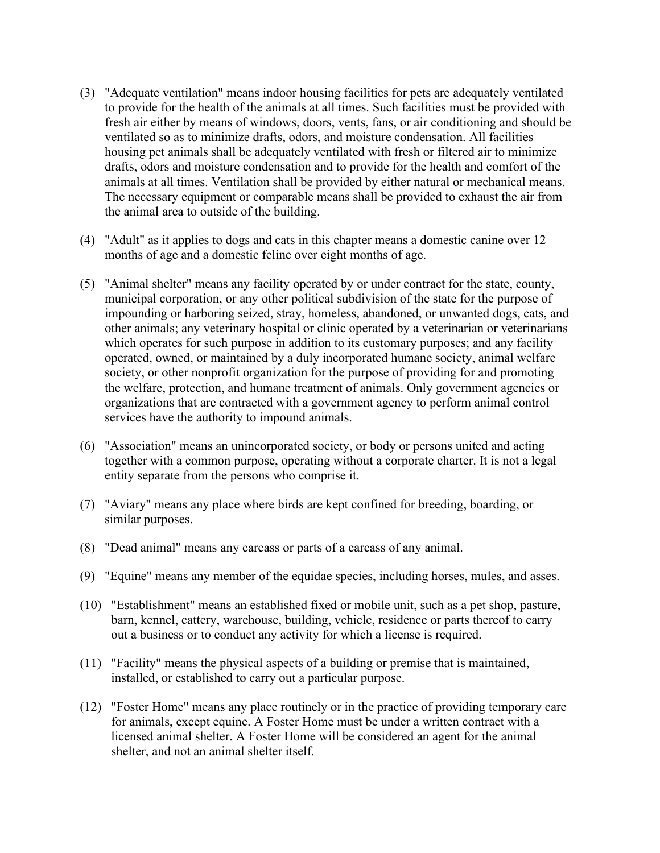- (3) "Adequate ventilation" means indoor housing facilities for pets are adequately ventilated to provide for the health of the animals at all times. Such facilities must be provided with fresh air either by means of windows, doors, vents, fans, or air conditioning and should be ventilated so as to minimize drafts, odors, and moisture condensation. All facilities housing pet animals shall be adequately ventilated with fresh or filtered air to minimize drafts, odors and moisture condensation and to provide for the health and comfort of the animals at all times. Ventilation shall be provided by either natural or mechanical means. The necessary equipment or comparable means shall be provided to exhaust the air from the animal area to outside of the building.
- (4) "Adult" as it applies to dogs and cats in this chapter means a domestic canine over 12 months of age and a domestic feline over eight months of age.
- (5) "Animal shelter" means any facility operated by or under contract for the state, county, municipal corporation, or any other political subdivision of the state for the purpose of impounding or harboring seized, stray, homeless, abandoned, or unwanted dogs, cats, and other animals; any veterinary hospital or clinic operated by a veterinarian or veterinarians which operates for such purpose in addition to its customary purposes; and any facility operated, owned, or maintained by a duly incorporated humane society, animal welfare society, or other nonprofit organization for the purpose of providing for and promoting the welfare, protection, and humane treatment of animals. Only government agencies or organizations that are contracted with a government agency to perform animal control services have the authority to impound animals.
- (6) "Association" means an unincorporated society, or body or persons united and acting together with a common purpose, operating without a corporate charter. It is not a legal entity separate from the persons who comprise it.
- (7) "Aviary" means any place where birds are kept confined for breeding, boarding, or similar purposes.
- (8) "Dead animal" means any carcass or parts of a carcass of any animal.
- (9) "Equine" means any member of the equidae species, including horses, mules, and asses.
- (10) "Establishment" means an established fixed or mobile unit, such as a pet shop, pasture, barn, kennel, cattery, warehouse, building, vehicle, residence or parts thereof to carry out a business or to conduct any activity for which a license is required.
- (11) "Facility" means the physical aspects of a building or premise that is maintained, installed, or established to carry out a particular purpose.
- (12) "Foster Home" means any place routinely or in the practice of providing temporary care for animals, except equine. A Foster Home must be under a written contract with a licensed animal shelter. A Foster Home will be considered an agent for the animal shelter, and not an animal shelter itself.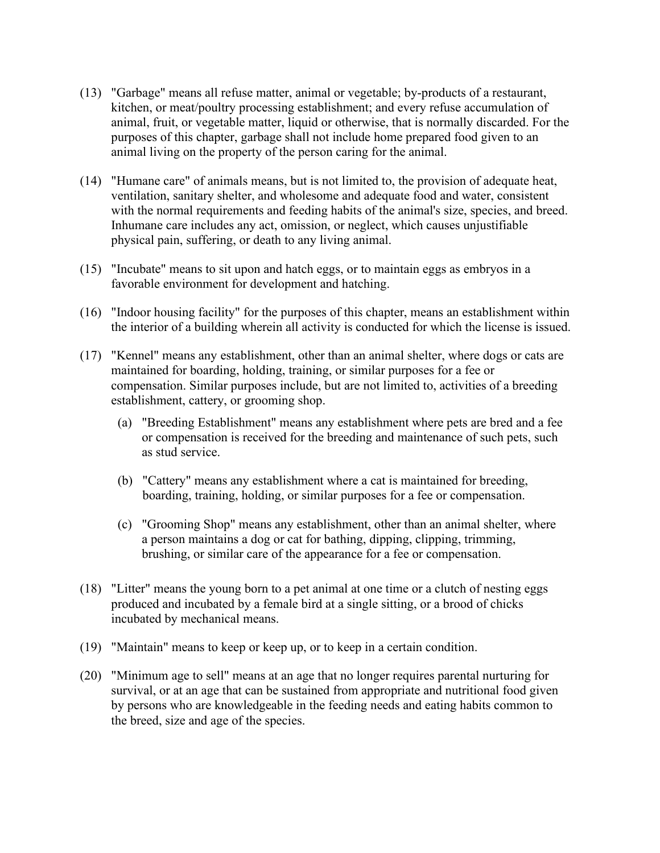- (13) "Garbage" means all refuse matter, animal or vegetable; by-products of a restaurant, kitchen, or meat/poultry processing establishment; and every refuse accumulation of animal, fruit, or vegetable matter, liquid or otherwise, that is normally discarded. For the purposes of this chapter, garbage shall not include home prepared food given to an animal living on the property of the person caring for the animal.
- (14) "Humane care" of animals means, but is not limited to, the provision of adequate heat, ventilation, sanitary shelter, and wholesome and adequate food and water, consistent with the normal requirements and feeding habits of the animal's size, species, and breed. Inhumane care includes any act, omission, or neglect, which causes unjustifiable physical pain, suffering, or death to any living animal.
- (15) "Incubate" means to sit upon and hatch eggs, or to maintain eggs as embryos in a favorable environment for development and hatching.
- (16) "Indoor housing facility" for the purposes of this chapter, means an establishment within the interior of a building wherein all activity is conducted for which the license is issued.
- (17) "Kennel" means any establishment, other than an animal shelter, where dogs or cats are maintained for boarding, holding, training, or similar purposes for a fee or compensation. Similar purposes include, but are not limited to, activities of a breeding establishment, cattery, or grooming shop.
	- (a) "Breeding Establishment" means any establishment where pets are bred and a fee or compensation is received for the breeding and maintenance of such pets, such as stud service.
	- (b) "Cattery" means any establishment where a cat is maintained for breeding, boarding, training, holding, or similar purposes for a fee or compensation.
	- (c) "Grooming Shop" means any establishment, other than an animal shelter, where a person maintains a dog or cat for bathing, dipping, clipping, trimming, brushing, or similar care of the appearance for a fee or compensation.
- (18) "Litter" means the young born to a pet animal at one time or a clutch of nesting eggs produced and incubated by a female bird at a single sitting, or a brood of chicks incubated by mechanical means.
- (19) "Maintain" means to keep or keep up, or to keep in a certain condition.
- (20) "Minimum age to sell" means at an age that no longer requires parental nurturing for survival, or at an age that can be sustained from appropriate and nutritional food given by persons who are knowledgeable in the feeding needs and eating habits common to the breed, size and age of the species.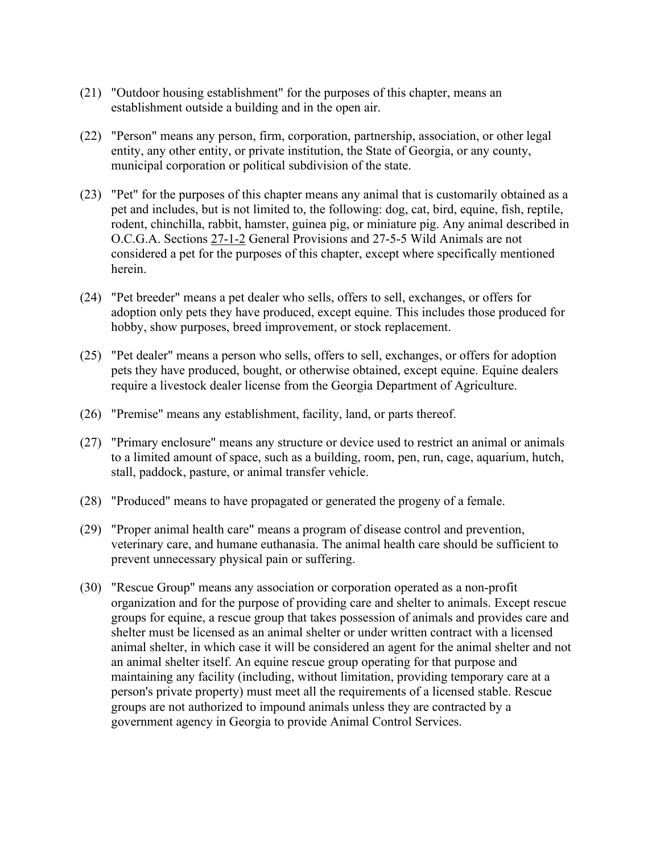- (21) "Outdoor housing establishment" for the purposes of this chapter, means an establishment outside a building and in the open air.
- (22) "Person" means any person, firm, corporation, partnership, association, or other legal entity, any other entity, or private institution, the State of Georgia, or any county, municipal corporation or political subdivision of the state.
- (23) "Pet" for the purposes of this chapter means any animal that is customarily obtained as a pet and includes, but is not limited to, the following: dog, cat, bird, equine, fish, reptile, rodent, chinchilla, rabbit, hamster, guinea pig, or miniature pig. Any animal described in O.C.G.A. Sections 27-1-2 General Provisions and 27-5-5 Wild Animals are not considered a pet for the purposes of this chapter, except where specifically mentioned herein.
- (24) "Pet breeder" means a pet dealer who sells, offers to sell, exchanges, or offers for adoption only pets they have produced, except equine. This includes those produced for hobby, show purposes, breed improvement, or stock replacement.
- (25) "Pet dealer" means a person who sells, offers to sell, exchanges, or offers for adoption pets they have produced, bought, or otherwise obtained, except equine. Equine dealers require a livestock dealer license from the Georgia Department of Agriculture.
- (26) "Premise" means any establishment, facility, land, or parts thereof.
- (27) "Primary enclosure" means any structure or device used to restrict an animal or animals to a limited amount of space, such as a building, room, pen, run, cage, aquarium, hutch, stall, paddock, pasture, or animal transfer vehicle.
- (28) "Produced" means to have propagated or generated the progeny of a female.
- (29) "Proper animal health care" means a program of disease control and prevention, veterinary care, and humane euthanasia. The animal health care should be sufficient to prevent unnecessary physical pain or suffering.
- (30) "Rescue Group" means any association or corporation operated as a non-profit organization and for the purpose of providing care and shelter to animals. Except rescue groups for equine, a rescue group that takes possession of animals and provides care and shelter must be licensed as an animal shelter or under written contract with a licensed animal shelter, in which case it will be considered an agent for the animal shelter and not an animal shelter itself. An equine rescue group operating for that purpose and maintaining any facility (including, without limitation, providing temporary care at a person's private property) must meet all the requirements of a licensed stable. Rescue groups are not authorized to impound animals unless they are contracted by a government agency in Georgia to provide Animal Control Services.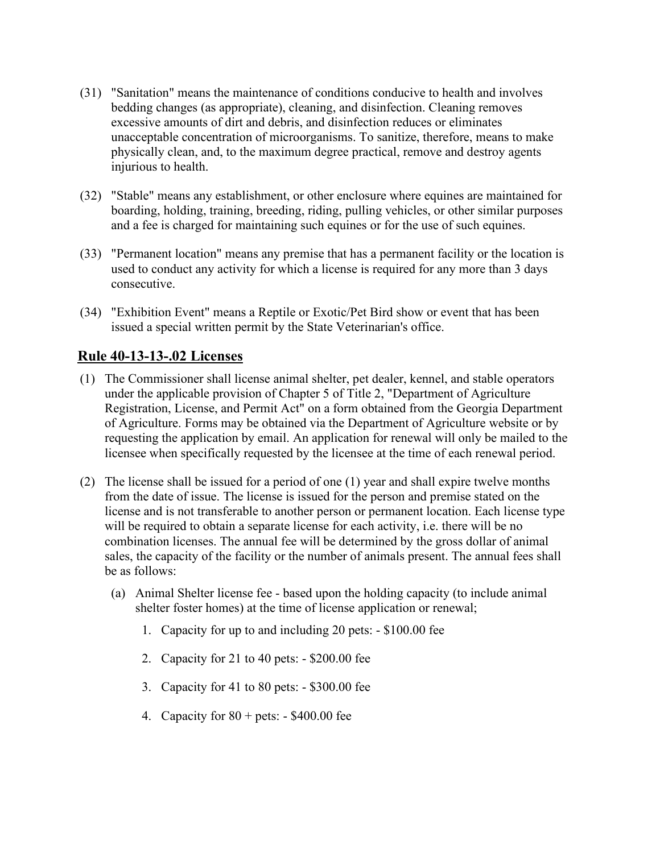- (31) "Sanitation" means the maintenance of conditions conducive to health and involves bedding changes (as appropriate), cleaning, and disinfection. Cleaning removes excessive amounts of dirt and debris, and disinfection reduces or eliminates unacceptable concentration of microorganisms. To sanitize, therefore, means to make physically clean, and, to the maximum degree practical, remove and destroy agents injurious to health.
- (32) "Stable" means any establishment, or other enclosure where equines are maintained for boarding, holding, training, breeding, riding, pulling vehicles, or other similar purposes and a fee is charged for maintaining such equines or for the use of such equines.
- (33) "Permanent location" means any premise that has a permanent facility or the location is used to conduct any activity for which a license is required for any more than 3 days consecutive.
- (34) "Exhibition Event" means a Reptile or Exotic/Pet Bird show or event that has been issued a special written permit by the State Veterinarian's office.

# **Rule 40-13-13-.02 Licenses**

- (1) The Commissioner shall license animal shelter, pet dealer, kennel, and stable operators under the applicable provision of Chapter 5 of Title 2, "Department of Agriculture Registration, License, and Permit Act" on a form obtained from the Georgia Department of Agriculture. Forms may be obtained via the Department of Agriculture website or by requesting the application by email. An application for renewal will only be mailed to the licensee when specifically requested by the licensee at the time of each renewal period.
- (2) The license shall be issued for a period of one (1) year and shall expire twelve months from the date of issue. The license is issued for the person and premise stated on the license and is not transferable to another person or permanent location. Each license type will be required to obtain a separate license for each activity, i.e. there will be no combination licenses. The annual fee will be determined by the gross dollar of animal sales, the capacity of the facility or the number of animals present. The annual fees shall be as follows:
	- (a) Animal Shelter license fee based upon the holding capacity (to include animal shelter foster homes) at the time of license application or renewal;
		- 1. Capacity for up to and including 20 pets: \$100.00 fee
		- 2. Capacity for 21 to 40 pets: \$200.00 fee
		- 3. Capacity for 41 to 80 pets: \$300.00 fee
		- 4. Capacity for  $80 + \text{pets}: -\$400.00$  fee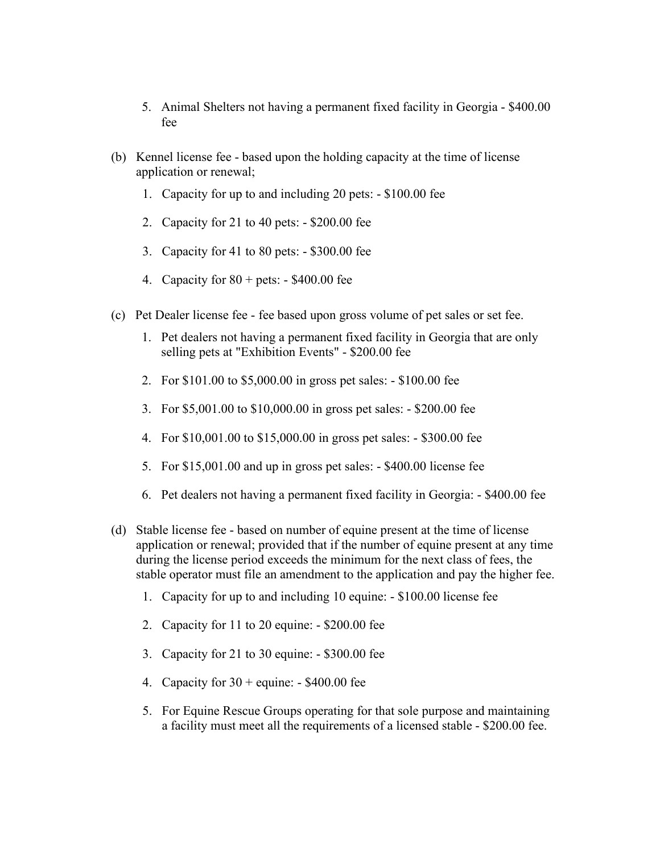- 5. Animal Shelters not having a permanent fixed facility in Georgia \$400.00 fee
- (b) Kennel license fee based upon the holding capacity at the time of license application or renewal;
	- 1. Capacity for up to and including 20 pets: \$100.00 fee
	- 2. Capacity for 21 to 40 pets: \$200.00 fee
	- 3. Capacity for 41 to 80 pets: \$300.00 fee
	- 4. Capacity for  $80 + \text{pets: } -\$400.00$  fee
- (c) Pet Dealer license fee fee based upon gross volume of pet sales or set fee.
	- 1. Pet dealers not having a permanent fixed facility in Georgia that are only selling pets at "Exhibition Events" - \$200.00 fee
	- 2. For \$101.00 to \$5,000.00 in gross pet sales: \$100.00 fee
	- 3. For \$5,001.00 to \$10,000.00 in gross pet sales: \$200.00 fee
	- 4. For \$10,001.00 to \$15,000.00 in gross pet sales: \$300.00 fee
	- 5. For \$15,001.00 and up in gross pet sales: \$400.00 license fee
	- 6. Pet dealers not having a permanent fixed facility in Georgia: \$400.00 fee
- (d) Stable license fee based on number of equine present at the time of license application or renewal; provided that if the number of equine present at any time during the license period exceeds the minimum for the next class of fees, the stable operator must file an amendment to the application and pay the higher fee.
	- 1. Capacity for up to and including 10 equine: \$100.00 license fee
	- 2. Capacity for 11 to 20 equine: \$200.00 fee
	- 3. Capacity for 21 to 30 equine: \$300.00 fee
	- 4. Capacity for  $30 +$  equine: \$400.00 fee
	- 5. For Equine Rescue Groups operating for that sole purpose and maintaining a facility must meet all the requirements of a licensed stable - \$200.00 fee.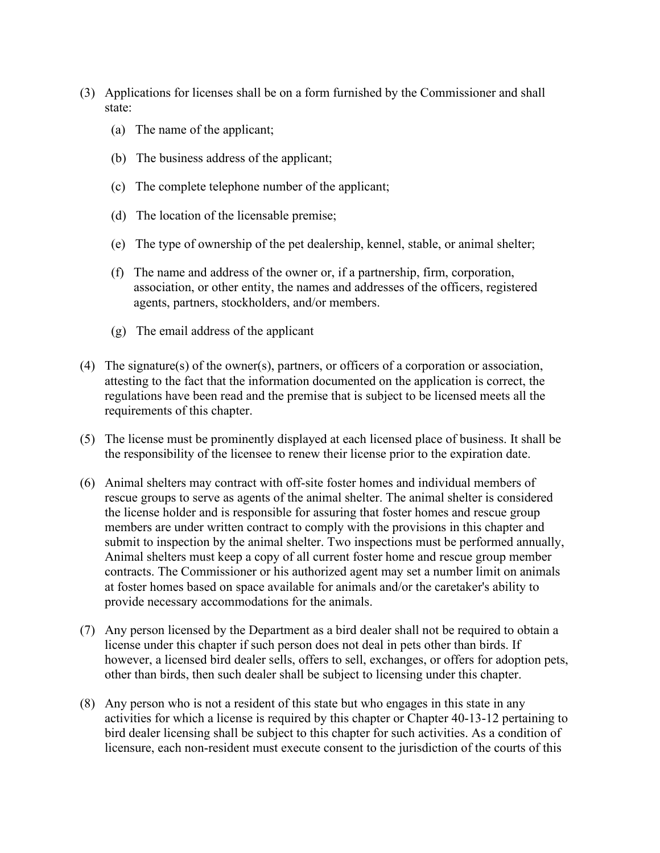- (3) Applications for licenses shall be on a form furnished by the Commissioner and shall state:
	- (a) The name of the applicant;
	- (b) The business address of the applicant;
	- (c) The complete telephone number of the applicant;
	- (d) The location of the licensable premise;
	- (e) The type of ownership of the pet dealership, kennel, stable, or animal shelter;
	- (f) The name and address of the owner or, if a partnership, firm, corporation, association, or other entity, the names and addresses of the officers, registered agents, partners, stockholders, and/or members.
	- (g) The email address of the applicant
- (4) The signature(s) of the owner(s), partners, or officers of a corporation or association, attesting to the fact that the information documented on the application is correct, the regulations have been read and the premise that is subject to be licensed meets all the requirements of this chapter.
- (5) The license must be prominently displayed at each licensed place of business. It shall be the responsibility of the licensee to renew their license prior to the expiration date.
- (6) Animal shelters may contract with off-site foster homes and individual members of rescue groups to serve as agents of the animal shelter. The animal shelter is considered the license holder and is responsible for assuring that foster homes and rescue group members are under written contract to comply with the provisions in this chapter and submit to inspection by the animal shelter. Two inspections must be performed annually, Animal shelters must keep a copy of all current foster home and rescue group member contracts. The Commissioner or his authorized agent may set a number limit on animals at foster homes based on space available for animals and/or the caretaker's ability to provide necessary accommodations for the animals.
- (7) Any person licensed by the Department as a bird dealer shall not be required to obtain a license under this chapter if such person does not deal in pets other than birds. If however, a licensed bird dealer sells, offers to sell, exchanges, or offers for adoption pets, other than birds, then such dealer shall be subject to licensing under this chapter.
- (8) Any person who is not a resident of this state but who engages in this state in any activities for which a license is required by this chapter or Chapter 40-13-12 pertaining to bird dealer licensing shall be subject to this chapter for such activities. As a condition of licensure, each non-resident must execute consent to the jurisdiction of the courts of this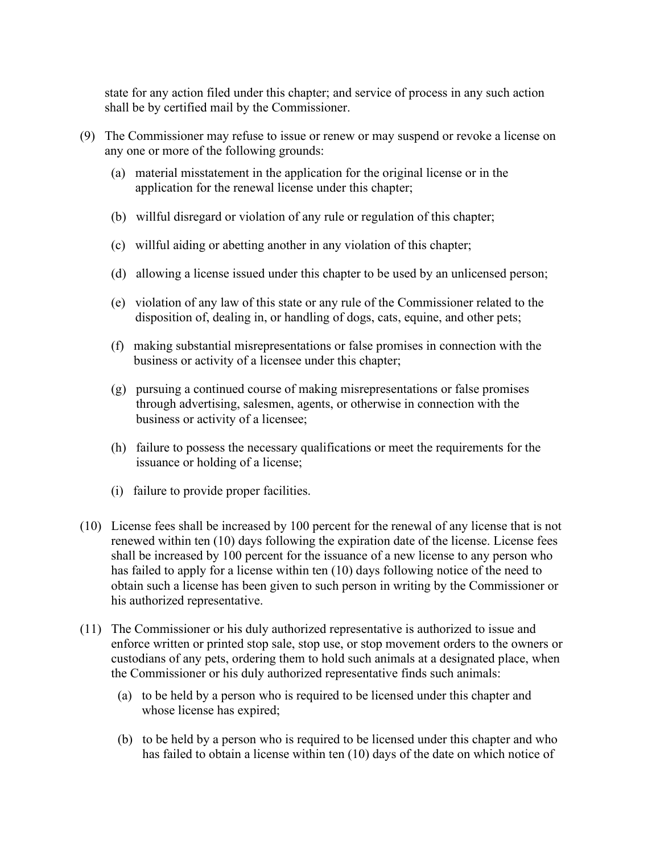state for any action filed under this chapter; and service of process in any such action shall be by certified mail by the Commissioner.

- (9) The Commissioner may refuse to issue or renew or may suspend or revoke a license on any one or more of the following grounds:
	- (a) material misstatement in the application for the original license or in the application for the renewal license under this chapter;
	- (b) willful disregard or violation of any rule or regulation of this chapter;
	- (c) willful aiding or abetting another in any violation of this chapter;
	- (d) allowing a license issued under this chapter to be used by an unlicensed person;
	- (e) violation of any law of this state or any rule of the Commissioner related to the disposition of, dealing in, or handling of dogs, cats, equine, and other pets;
	- (f) making substantial misrepresentations or false promises in connection with the business or activity of a licensee under this chapter;
	- (g) pursuing a continued course of making misrepresentations or false promises through advertising, salesmen, agents, or otherwise in connection with the business or activity of a licensee;
	- (h) failure to possess the necessary qualifications or meet the requirements for the issuance or holding of a license;
	- (i) failure to provide proper facilities.
- (10) License fees shall be increased by 100 percent for the renewal of any license that is not renewed within ten (10) days following the expiration date of the license. License fees shall be increased by 100 percent for the issuance of a new license to any person who has failed to apply for a license within ten (10) days following notice of the need to obtain such a license has been given to such person in writing by the Commissioner or his authorized representative.
- (11) The Commissioner or his duly authorized representative is authorized to issue and enforce written or printed stop sale, stop use, or stop movement orders to the owners or custodians of any pets, ordering them to hold such animals at a designated place, when the Commissioner or his duly authorized representative finds such animals:
	- (a) to be held by a person who is required to be licensed under this chapter and whose license has expired;
	- (b) to be held by a person who is required to be licensed under this chapter and who has failed to obtain a license within ten (10) days of the date on which notice of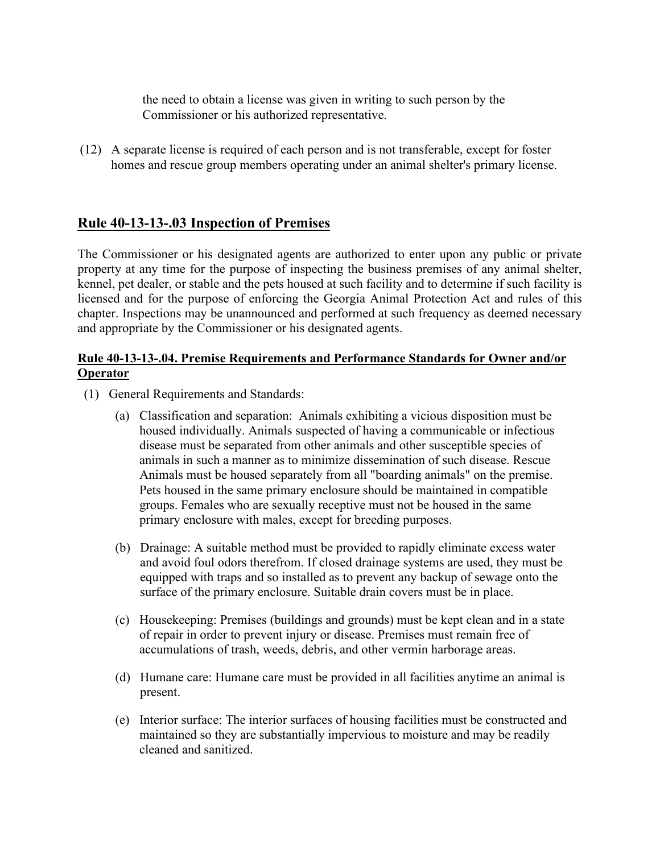the need to obtain a license was given in writing to such person by the Commissioner or his authorized representative.

(12) A separate license is required of each person and is not transferable, except for foster homes and rescue group members operating under an animal shelter's primary license.

# **Rule 40-13-13-.03 Inspection of Premises**

The Commissioner or his designated agents are authorized to enter upon any public or private property at any time for the purpose of inspecting the business premises of any animal shelter, kennel, pet dealer, or stable and the pets housed at such facility and to determine if such facility is licensed and for the purpose of enforcing the Georgia Animal Protection Act and rules of this chapter. Inspections may be unannounced and performed at such frequency as deemed necessary and appropriate by the Commissioner or his designated agents.

## **Rule 40-13-13-.04. Premise Requirements and Performance Standards for Owner and/or Operator**

- (1) General Requirements and Standards:
	- (a) Classification and separation: Animals exhibiting a vicious disposition must be housed individually. Animals suspected of having a communicable or infectious disease must be separated from other animals and other susceptible species of animals in such a manner as to minimize dissemination of such disease. Rescue Animals must be housed separately from all "boarding animals" on the premise. Pets housed in the same primary enclosure should be maintained in compatible groups. Females who are sexually receptive must not be housed in the same primary enclosure with males, except for breeding purposes.
	- (b) Drainage: A suitable method must be provided to rapidly eliminate excess water and avoid foul odors therefrom. If closed drainage systems are used, they must be equipped with traps and so installed as to prevent any backup of sewage onto the surface of the primary enclosure. Suitable drain covers must be in place.
	- (c) Housekeeping: Premises (buildings and grounds) must be kept clean and in a state of repair in order to prevent injury or disease. Premises must remain free of accumulations of trash, weeds, debris, and other vermin harborage areas.
	- (d) Humane care: Humane care must be provided in all facilities anytime an animal is present.
	- (e) Interior surface: The interior surfaces of housing facilities must be constructed and maintained so they are substantially impervious to moisture and may be readily cleaned and sanitized.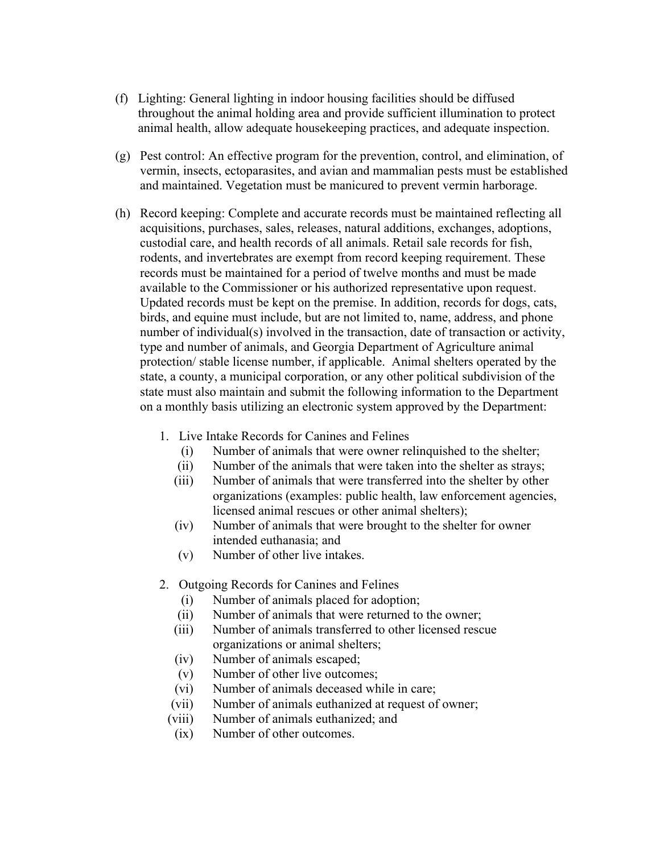- (f) Lighting: General lighting in indoor housing facilities should be diffused throughout the animal holding area and provide sufficient illumination to protect animal health, allow adequate housekeeping practices, and adequate inspection.
- (g) Pest control: An effective program for the prevention, control, and elimination, of vermin, insects, ectoparasites, and avian and mammalian pests must be established and maintained. Vegetation must be manicured to prevent vermin harborage.
- (h) Record keeping: Complete and accurate records must be maintained reflecting all acquisitions, purchases, sales, releases, natural additions, exchanges, adoptions, custodial care, and health records of all animals. Retail sale records for fish, rodents, and invertebrates are exempt from record keeping requirement. These records must be maintained for a period of twelve months and must be made available to the Commissioner or his authorized representative upon request. Updated records must be kept on the premise. In addition, records for dogs, cats, birds, and equine must include, but are not limited to, name, address, and phone number of individual(s) involved in the transaction, date of transaction or activity, type and number of animals, and Georgia Department of Agriculture animal protection/ stable license number, if applicable. Animal shelters operated by the state, a county, a municipal corporation, or any other political subdivision of the state must also maintain and submit the following information to the Department on a monthly basis utilizing an electronic system approved by the Department:
	- 1. Live Intake Records for Canines and Felines
		- (i) Number of animals that were owner relinquished to the shelter;
		- (ii) Number of the animals that were taken into the shelter as strays;
		- (iii) Number of animals that were transferred into the shelter by other organizations (examples: public health, law enforcement agencies, licensed animal rescues or other animal shelters);
		- (iv) Number of animals that were brought to the shelter for owner intended euthanasia; and
		- (v) Number of other live intakes.
	- 2. Outgoing Records for Canines and Felines
		- (i) Number of animals placed for adoption;
		- (ii) Number of animals that were returned to the owner;
		- (iii) Number of animals transferred to other licensed rescue organizations or animal shelters;
		- (iv) Number of animals escaped;
		- (v) Number of other live outcomes;
		- (vi) Number of animals deceased while in care;
		- (vii) Number of animals euthanized at request of owner;
		- (viii) Number of animals euthanized; and
		- (ix) Number of other outcomes.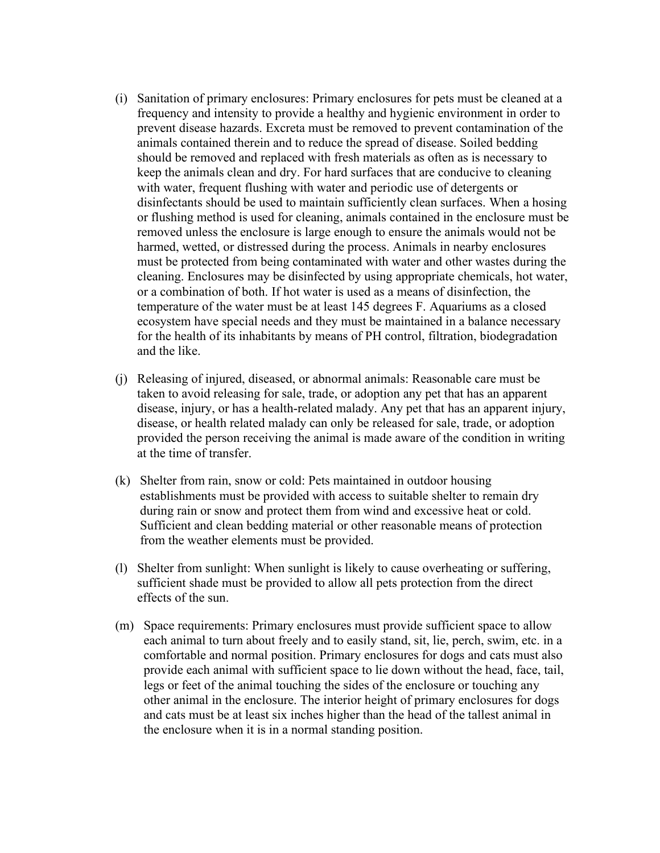- (i) Sanitation of primary enclosures: Primary enclosures for pets must be cleaned at a frequency and intensity to provide a healthy and hygienic environment in order to prevent disease hazards. Excreta must be removed to prevent contamination of the animals contained therein and to reduce the spread of disease. Soiled bedding should be removed and replaced with fresh materials as often as is necessary to keep the animals clean and dry. For hard surfaces that are conducive to cleaning with water, frequent flushing with water and periodic use of detergents or disinfectants should be used to maintain sufficiently clean surfaces. When a hosing or flushing method is used for cleaning, animals contained in the enclosure must be removed unless the enclosure is large enough to ensure the animals would not be harmed, wetted, or distressed during the process. Animals in nearby enclosures must be protected from being contaminated with water and other wastes during the cleaning. Enclosures may be disinfected by using appropriate chemicals, hot water, or a combination of both. If hot water is used as a means of disinfection, the temperature of the water must be at least 145 degrees F. Aquariums as a closed ecosystem have special needs and they must be maintained in a balance necessary for the health of its inhabitants by means of PH control, filtration, biodegradation and the like.
- (j) Releasing of injured, diseased, or abnormal animals: Reasonable care must be taken to avoid releasing for sale, trade, or adoption any pet that has an apparent disease, injury, or has a health-related malady. Any pet that has an apparent injury, disease, or health related malady can only be released for sale, trade, or adoption provided the person receiving the animal is made aware of the condition in writing at the time of transfer.
- (k) Shelter from rain, snow or cold: Pets maintained in outdoor housing establishments must be provided with access to suitable shelter to remain dry during rain or snow and protect them from wind and excessive heat or cold. Sufficient and clean bedding material or other reasonable means of protection from the weather elements must be provided.
- (l) Shelter from sunlight: When sunlight is likely to cause overheating or suffering, sufficient shade must be provided to allow all pets protection from the direct effects of the sun.
- (m) Space requirements: Primary enclosures must provide sufficient space to allow each animal to turn about freely and to easily stand, sit, lie, perch, swim, etc. in a comfortable and normal position. Primary enclosures for dogs and cats must also provide each animal with sufficient space to lie down without the head, face, tail, legs or feet of the animal touching the sides of the enclosure or touching any other animal in the enclosure. The interior height of primary enclosures for dogs and cats must be at least six inches higher than the head of the tallest animal in the enclosure when it is in a normal standing position.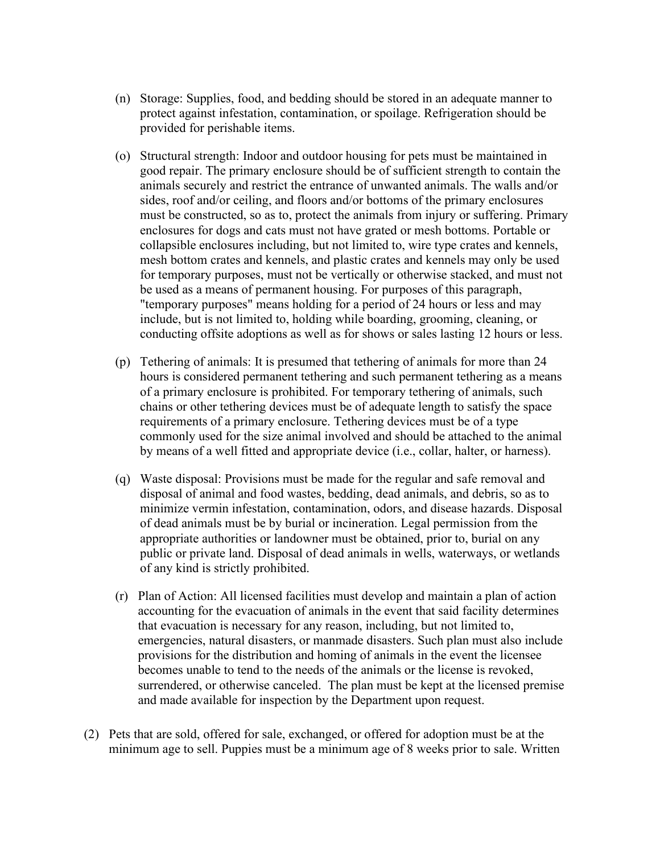- (n) Storage: Supplies, food, and bedding should be stored in an adequate manner to protect against infestation, contamination, or spoilage. Refrigeration should be provided for perishable items.
- (o) Structural strength: Indoor and outdoor housing for pets must be maintained in good repair. The primary enclosure should be of sufficient strength to contain the animals securely and restrict the entrance of unwanted animals. The walls and/or sides, roof and/or ceiling, and floors and/or bottoms of the primary enclosures must be constructed, so as to, protect the animals from injury or suffering. Primary enclosures for dogs and cats must not have grated or mesh bottoms. Portable or collapsible enclosures including, but not limited to, wire type crates and kennels, mesh bottom crates and kennels, and plastic crates and kennels may only be used for temporary purposes, must not be vertically or otherwise stacked, and must not be used as a means of permanent housing. For purposes of this paragraph, "temporary purposes" means holding for a period of 24 hours or less and may include, but is not limited to, holding while boarding, grooming, cleaning, or conducting offsite adoptions as well as for shows or sales lasting 12 hours or less.
- (p) Tethering of animals: It is presumed that tethering of animals for more than 24 hours is considered permanent tethering and such permanent tethering as a means of a primary enclosure is prohibited. For temporary tethering of animals, such chains or other tethering devices must be of adequate length to satisfy the space requirements of a primary enclosure. Tethering devices must be of a type commonly used for the size animal involved and should be attached to the animal by means of a well fitted and appropriate device (i.e., collar, halter, or harness).
- (q) Waste disposal: Provisions must be made for the regular and safe removal and disposal of animal and food wastes, bedding, dead animals, and debris, so as to minimize vermin infestation, contamination, odors, and disease hazards. Disposal of dead animals must be by burial or incineration. Legal permission from the appropriate authorities or landowner must be obtained, prior to, burial on any public or private land. Disposal of dead animals in wells, waterways, or wetlands of any kind is strictly prohibited.
- (r) Plan of Action: All licensed facilities must develop and maintain a plan of action accounting for the evacuation of animals in the event that said facility determines that evacuation is necessary for any reason, including, but not limited to, emergencies, natural disasters, or manmade disasters. Such plan must also include provisions for the distribution and homing of animals in the event the licensee becomes unable to tend to the needs of the animals or the license is revoked, surrendered, or otherwise canceled. The plan must be kept at the licensed premise and made available for inspection by the Department upon request.
- (2) Pets that are sold, offered for sale, exchanged, or offered for adoption must be at the minimum age to sell. Puppies must be a minimum age of 8 weeks prior to sale. Written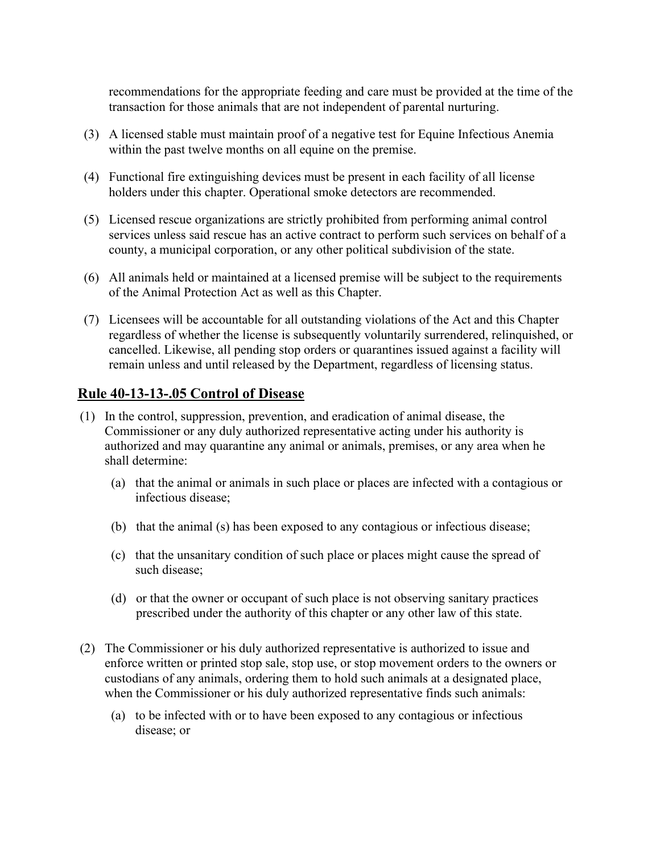recommendations for the appropriate feeding and care must be provided at the time of the transaction for those animals that are not independent of parental nurturing.

- (3) A licensed stable must maintain proof of a negative test for Equine Infectious Anemia within the past twelve months on all equine on the premise.
- (4) Functional fire extinguishing devices must be present in each facility of all license holders under this chapter. Operational smoke detectors are recommended.
- (5) Licensed rescue organizations are strictly prohibited from performing animal control services unless said rescue has an active contract to perform such services on behalf of a county, a municipal corporation, or any other political subdivision of the state.
- (6) All animals held or maintained at a licensed premise will be subject to the requirements of the Animal Protection Act as well as this Chapter.
- (7) Licensees will be accountable for all outstanding violations of the Act and this Chapter regardless of whether the license is subsequently voluntarily surrendered, relinquished, or cancelled. Likewise, all pending stop orders or quarantines issued against a facility will remain unless and until released by the Department, regardless of licensing status.

# **Rule 40-13-13-.05 Control of Disease**

- (1) In the control, suppression, prevention, and eradication of animal disease, the Commissioner or any duly authorized representative acting under his authority is authorized and may quarantine any animal or animals, premises, or any area when he shall determine:
	- (a) that the animal or animals in such place or places are infected with a contagious or infectious disease;
	- (b) that the animal (s) has been exposed to any contagious or infectious disease;
	- (c) that the unsanitary condition of such place or places might cause the spread of such disease;
	- (d) or that the owner or occupant of such place is not observing sanitary practices prescribed under the authority of this chapter or any other law of this state.
- (2) The Commissioner or his duly authorized representative is authorized to issue and enforce written or printed stop sale, stop use, or stop movement orders to the owners or custodians of any animals, ordering them to hold such animals at a designated place, when the Commissioner or his duly authorized representative finds such animals:
	- (a) to be infected with or to have been exposed to any contagious or infectious disease; or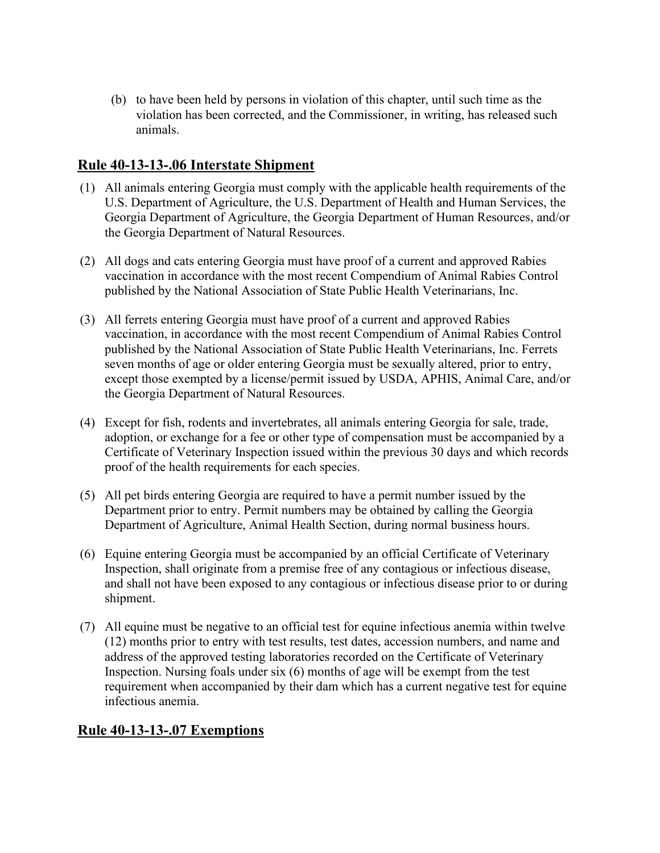(b) to have been held by persons in violation of this chapter, until such time as the violation has been corrected, and the Commissioner, in writing, has released such animals.

# **Rule 40-13-13-.06 Interstate Shipment**

- (1) All animals entering Georgia must comply with the applicable health requirements of the U.S. Department of Agriculture, the U.S. Department of Health and Human Services, the Georgia Department of Agriculture, the Georgia Department of Human Resources, and/or the Georgia Department of Natural Resources.
- (2) All dogs and cats entering Georgia must have proof of a current and approved Rabies vaccination in accordance with the most recent Compendium of Animal Rabies Control published by the National Association of State Public Health Veterinarians, Inc.
- (3) All ferrets entering Georgia must have proof of a current and approved Rabies vaccination, in accordance with the most recent Compendium of Animal Rabies Control published by the National Association of State Public Health Veterinarians, Inc. Ferrets seven months of age or older entering Georgia must be sexually altered, prior to entry, except those exempted by a license/permit issued by USDA, APHIS, Animal Care, and/or the Georgia Department of Natural Resources.
- (4) Except for fish, rodents and invertebrates, all animals entering Georgia for sale, trade, adoption, or exchange for a fee or other type of compensation must be accompanied by a Certificate of Veterinary Inspection issued within the previous 30 days and which records proof of the health requirements for each species.
- (5) All pet birds entering Georgia are required to have a permit number issued by the Department prior to entry. Permit numbers may be obtained by calling the Georgia Department of Agriculture, Animal Health Section, during normal business hours.
- (6) Equine entering Georgia must be accompanied by an official Certificate of Veterinary Inspection, shall originate from a premise free of any contagious or infectious disease, and shall not have been exposed to any contagious or infectious disease prior to or during shipment.
- (7) All equine must be negative to an official test for equine infectious anemia within twelve (12) months prior to entry with test results, test dates, accession numbers, and name and address of the approved testing laboratories recorded on the Certificate of Veterinary Inspection. Nursing foals under six (6) months of age will be exempt from the test requirement when accompanied by their dam which has a current negative test for equine infectious anemia.

# **Rule 40-13-13-.07 Exemptions**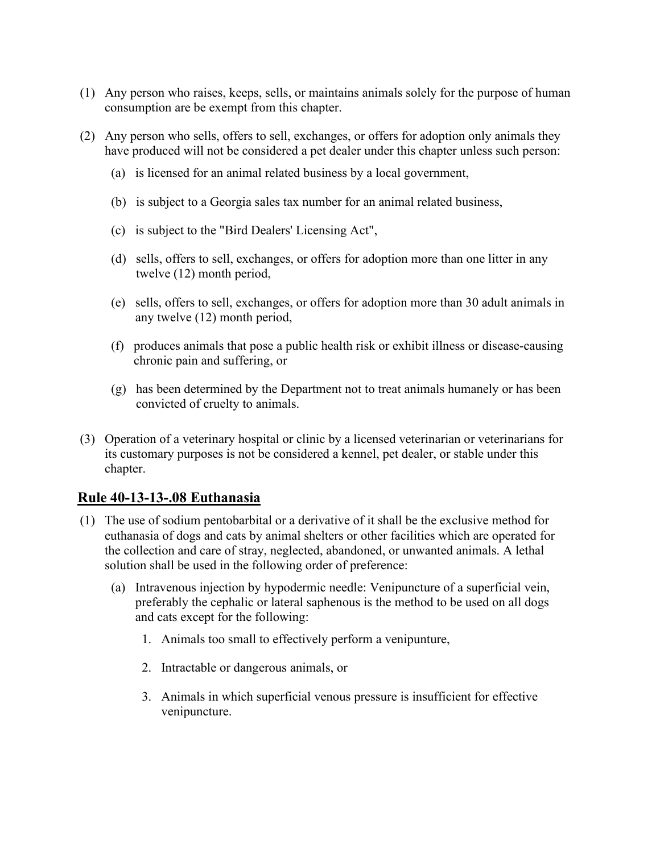- (1) Any person who raises, keeps, sells, or maintains animals solely for the purpose of human consumption are be exempt from this chapter.
- (2) Any person who sells, offers to sell, exchanges, or offers for adoption only animals they have produced will not be considered a pet dealer under this chapter unless such person:
	- (a) is licensed for an animal related business by a local government,
	- (b) is subject to a Georgia sales tax number for an animal related business,
	- (c) is subject to the "Bird Dealers' Licensing Act",
	- (d) sells, offers to sell, exchanges, or offers for adoption more than one litter in any twelve (12) month period,
	- (e) sells, offers to sell, exchanges, or offers for adoption more than 30 adult animals in any twelve (12) month period,
	- (f) produces animals that pose a public health risk or exhibit illness or disease-causing chronic pain and suffering, or
	- (g) has been determined by the Department not to treat animals humanely or has been convicted of cruelty to animals.
- (3) Operation of a veterinary hospital or clinic by a licensed veterinarian or veterinarians for its customary purposes is not be considered a kennel, pet dealer, or stable under this chapter.

## **Rule 40-13-13-.08 Euthanasia**

- (1) The use of sodium pentobarbital or a derivative of it shall be the exclusive method for euthanasia of dogs and cats by animal shelters or other facilities which are operated for the collection and care of stray, neglected, abandoned, or unwanted animals. A lethal solution shall be used in the following order of preference:
	- (a) Intravenous injection by hypodermic needle: Venipuncture of a superficial vein, preferably the cephalic or lateral saphenous is the method to be used on all dogs and cats except for the following:
		- 1. Animals too small to effectively perform a venipunture,
		- 2. Intractable or dangerous animals, or
		- 3. Animals in which superficial venous pressure is insufficient for effective venipuncture.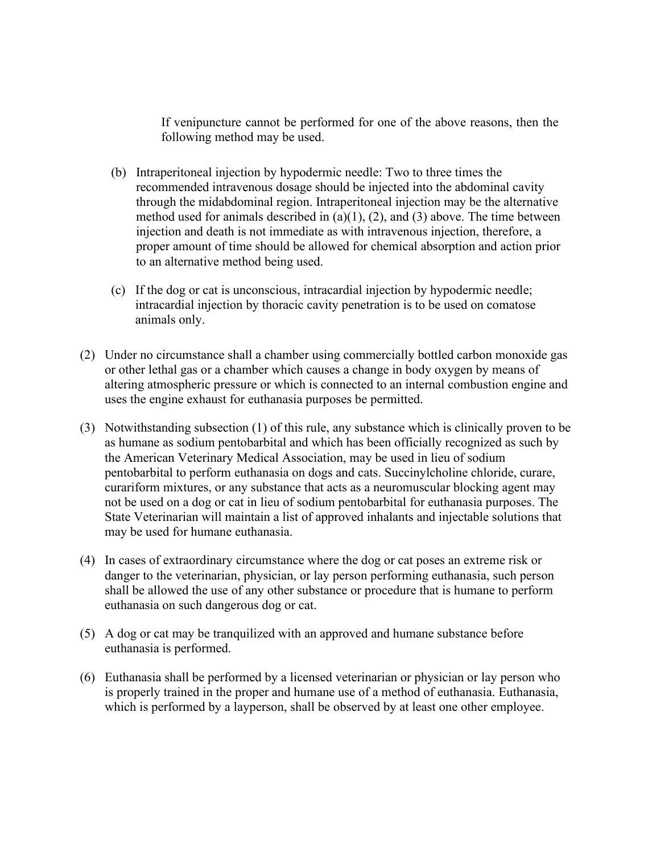If venipuncture cannot be performed for one of the above reasons, then the following method may be used.

- (b) Intraperitoneal injection by hypodermic needle: Two to three times the recommended intravenous dosage should be injected into the abdominal cavity through the midabdominal region. Intraperitoneal injection may be the alternative method used for animals described in  $(a)(1)$ ,  $(2)$ , and  $(3)$  above. The time between injection and death is not immediate as with intravenous injection, therefore, a proper amount of time should be allowed for chemical absorption and action prior to an alternative method being used.
- (c) If the dog or cat is unconscious, intracardial injection by hypodermic needle; intracardial injection by thoracic cavity penetration is to be used on comatose animals only.
- (2) Under no circumstance shall a chamber using commercially bottled carbon monoxide gas or other lethal gas or a chamber which causes a change in body oxygen by means of altering atmospheric pressure or which is connected to an internal combustion engine and uses the engine exhaust for euthanasia purposes be permitted.
- (3) Notwithstanding subsection (1) of this rule, any substance which is clinically proven to be as humane as sodium pentobarbital and which has been officially recognized as such by the American Veterinary Medical Association, may be used in lieu of sodium pentobarbital to perform euthanasia on dogs and cats. Succinylcholine chloride, curare, curariform mixtures, or any substance that acts as a neuromuscular blocking agent may not be used on a dog or cat in lieu of sodium pentobarbital for euthanasia purposes. The State Veterinarian will maintain a list of approved inhalants and injectable solutions that may be used for humane euthanasia.
- (4) In cases of extraordinary circumstance where the dog or cat poses an extreme risk or danger to the veterinarian, physician, or lay person performing euthanasia, such person shall be allowed the use of any other substance or procedure that is humane to perform euthanasia on such dangerous dog or cat.
- (5) A dog or cat may be tranquilized with an approved and humane substance before euthanasia is performed.
- (6) Euthanasia shall be performed by a licensed veterinarian or physician or lay person who is properly trained in the proper and humane use of a method of euthanasia. Euthanasia, which is performed by a layperson, shall be observed by at least one other employee.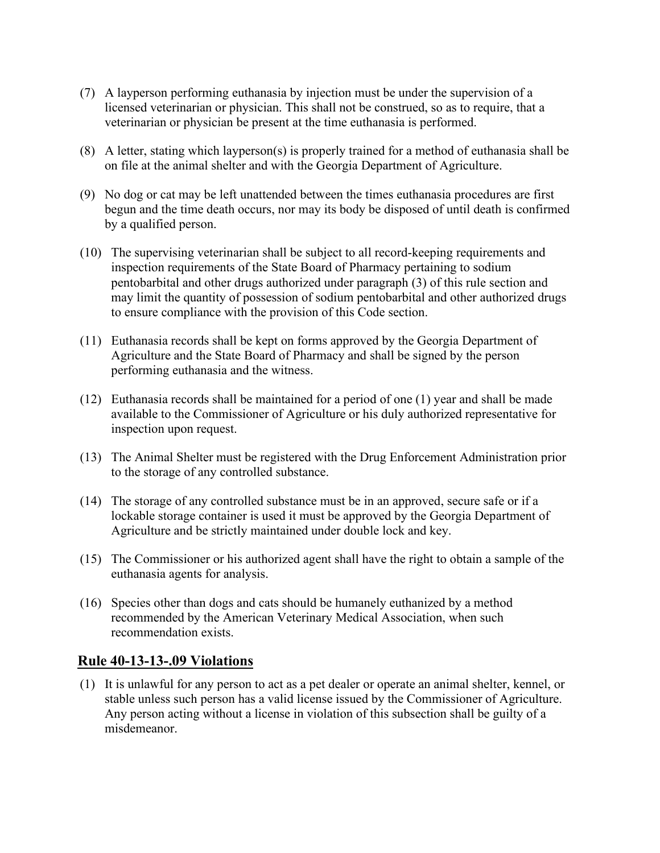- (7) A layperson performing euthanasia by injection must be under the supervision of a licensed veterinarian or physician. This shall not be construed, so as to require, that a veterinarian or physician be present at the time euthanasia is performed.
- (8) A letter, stating which layperson(s) is properly trained for a method of euthanasia shall be on file at the animal shelter and with the Georgia Department of Agriculture.
- (9) No dog or cat may be left unattended between the times euthanasia procedures are first begun and the time death occurs, nor may its body be disposed of until death is confirmed by a qualified person.
- (10) The supervising veterinarian shall be subject to all record-keeping requirements and inspection requirements of the State Board of Pharmacy pertaining to sodium pentobarbital and other drugs authorized under paragraph (3) of this rule section and may limit the quantity of possession of sodium pentobarbital and other authorized drugs to ensure compliance with the provision of this Code section.
- (11) Euthanasia records shall be kept on forms approved by the Georgia Department of Agriculture and the State Board of Pharmacy and shall be signed by the person performing euthanasia and the witness.
- (12) Euthanasia records shall be maintained for a period of one (1) year and shall be made available to the Commissioner of Agriculture or his duly authorized representative for inspection upon request.
- (13) The Animal Shelter must be registered with the Drug Enforcement Administration prior to the storage of any controlled substance.
- (14) The storage of any controlled substance must be in an approved, secure safe or if a lockable storage container is used it must be approved by the Georgia Department of Agriculture and be strictly maintained under double lock and key.
- (15) The Commissioner or his authorized agent shall have the right to obtain a sample of the euthanasia agents for analysis.
- (16) Species other than dogs and cats should be humanely euthanized by a method recommended by the American Veterinary Medical Association, when such recommendation exists.

# **[Rule 40-13-13-.09 Violations](http://rules.sos.ga.gov/GAC/40-13-13-.09)**

(1) It is unlawful for any person to act as a pet dealer or operate an animal shelter, kennel, or stable unless such person has a valid license issued by the Commissioner of Agriculture. Any person acting without a license in violation of this subsection shall be guilty of a misdemeanor.